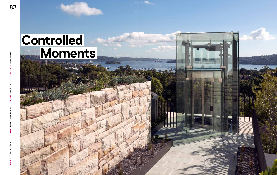

# **Controlled Moments**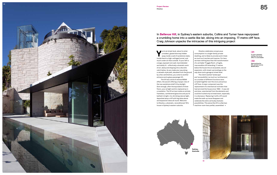

**Y**ou're at street level, about to enter a modest, glazed doorway hidden away inside a wall of sandstone slabs. Inside there's a high-ceilinged tunnel, and much cooler air than outside. To your left is a large, exposed rock wall, hand detailed and subtly lit – effectively a dramatic work of art, damp and dripping into a discrete catch below. As you make your way along a catwalk-style path, elevated from the ground by a few centimetres, you come to another entrance and a glass passenger lift.

The lift has a kind of reverse MONA effect, the ascent offering a myopic view of the raw sandstone shaft lit by skylight. Soon enough, after the equivalent of three floors, your airtight world is replaced as in a revelation. The lift arrives inside an entirely frameless, cantilevered glass box and you're bathed in bright, iris-shrinking natural light, deposited atop a cliff with big skies above and expansive views all round. Welcome to Kharkov, a dramatic, reconditioned 1914 house in Sydney's eastern suburbs.

Kharkov celebrates conspicuous consumption in a single-family private dwelling, and is likely to provoke and irritate as much as it excites and inspires. For here we have nothing less than the transformation of a veritable 'Fraggle Rock', a fragile, inaccessible cliff extending 17 metres below the house into an excavated, secure expansion, with mixed-use landings on the way down and a garage at street level. The client wanted 'landscape'

and 'accessibility' as much as 'architecture', so a number of different functions were scripted together over the once-precarious cliff face. A major component was the replacement of a mechanical inclinator that had serviced the house since 1960 – it was old and slow, unprotected from the elements and could be trusted only to break down, especially in a downpour. Replacing it with a lift would make the walk-up issue disappear and celebrate the site's vertically dramatic possibilities. This alone (the lift is a German machine-room-less prefab, assembled →

# **01**

**In such a dramatic setting, the turret effect is unavoidable**

## **02**

**Approaching the lift, and the reverse MONA effect**



In **Bellevue Hill**, in Sydney's eastern suburbs, Collins and Turner have repurposed a crumbling home into a castle-like lair, slicing into an imposing, 17-metre cliff face. Craig Johnson unpacks the intricacies of this intriguing project

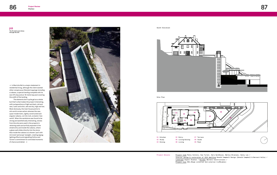Project Details Project team Penny Collins, Huw Turner, Sara Gardhouse, Markus Bruenjes, Sonny Lee / Interior design & restoration of 1914 dwelling Donald Campbell Design (Donald Campbell & Bernard Vella) / Landscape Aspect Studios / Builder Mardini Constructions / Project size 952.25sqm (internal and external trafficable)

**03 The 18-metre pool slices through the site**

 $\rightarrow$  in Marrickville) is a major statement in residential living, although the client wanted other conspicuous lifestyle trappings including a cabana, a special landing complete with its own lift stop and an 18-metre lap pool covering the width of the landing.

The elements don't quite gel as a whole but that's what makes the project interesting, with juxtapositions of light and dark, old and new, rustic and slick, wet and dry, high and low. Most obviously, the main house points to old-world conservatism whereas the new, quasi-modernistic, lightly constructed and angular cabana, cut into rock, screams 'new world'. When the sandstone was found to be strong and aesthetically interesting, stones from the site were used in the property's retaining walls and artfully exposed in the street entry and inside the cabana, where a glass wall slides directly into the stone. Also inside the cabana is a shower 'pod' with mirrored 'periscope' skylight, creating zigzag lighting effects and signalling Collins and Turner's commitment to controlled moments of chance and detail.  $\rightarrow$ 

South Elevation



Site Plan



| )1 Kitchen | 04 Entry |
|------------|----------|
| )2 Studv   | 05 Livin |
| )3 Dining  | 06 Livin |